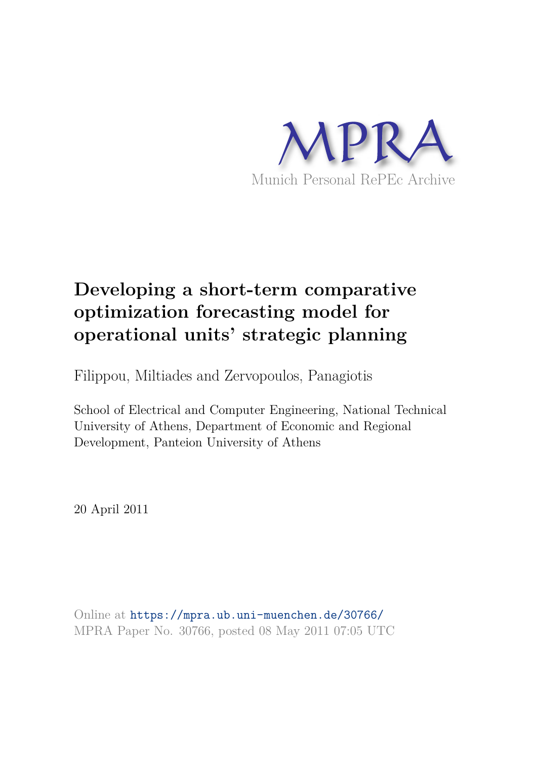

# **Developing a short-term comparative optimization forecasting model for operational units' strategic planning**

Filippou, Miltiades and Zervopoulos, Panagiotis

School of Electrical and Computer Engineering, National Technical University of Athens, Department of Economic and Regional Development, Panteion University of Athens

20 April 2011

Online at https://mpra.ub.uni-muenchen.de/30766/ MPRA Paper No. 30766, posted 08 May 2011 07:05 UTC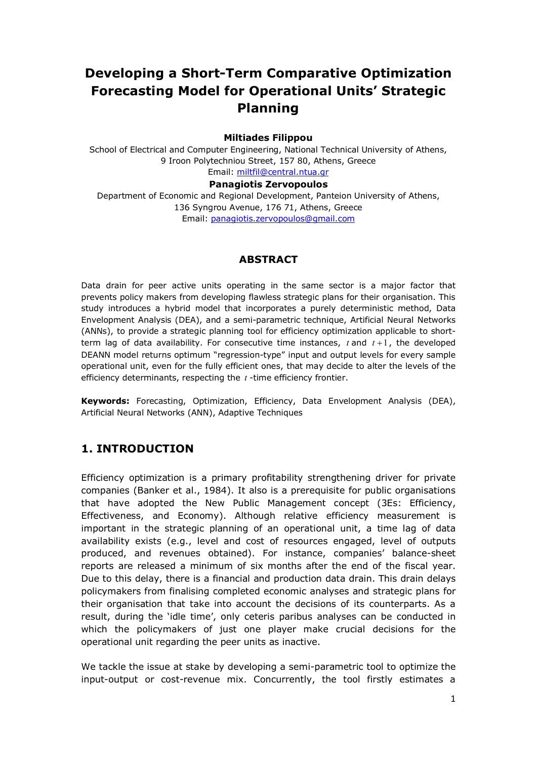## **Developing a Short-Term Comparative Optimization Forecasting Model for Operational Units' Strategic Planning**

#### **Miltiades Filippou**

School of Electrical and Computer Engineering, National Technical University of Athens, 9 Iroon Polytechniou Street, 157 80, Athens, Greece Email: miltfil@central.ntua.gr

## **Panagiotis Zervopoulos**

Department of Economic and Regional Development, Panteion University of Athens, 136 Syngrou Avenue, 176 71, Athens, Greece Email: panagiotis.zervopoulos@gmail.com

#### **ABSTRACT**

Data drain for peer active units operating in the same sector is a major factor that prevents policy makers from developing flawless strategic plans for their organisation. This study introduces a hybrid model that incorporates a purely deterministic method, Data Envelopment Analysis (DEA), and a semi-parametric technique, Artificial Neural Networks (ANNs), to provide a strategic planning tool for efficiency optimization applicable to shortterm lag of data availability. For consecutive time instances, *t* and *t* +1, the developed DEANN model returns optimum "regression-type" input and output levels for every sample operational unit, even for the fully efficient ones, that may decide to alter the levels of the efficiency determinants, respecting the *t* -time efficiency frontier.

**Keywords:** Forecasting, Optimization, Efficiency, Data Envelopment Analysis (DEA), Artificial Neural Networks (ANN), Adaptive Techniques

## **1. INTRODUCTION**

Efficiency optimization is a primary profitability strengthening driver for private companies (Banker et al., 1984). It also is a prerequisite for public organisations that have adopted the New Public Management concept (3Es: Efficiency, Effectiveness, and Economy). Although relative efficiency measurement is important in the strategic planning of an operational unit, a time lag of data availability exists (e.g., level and cost of resources engaged, level of outputs produced, and revenues obtained). For instance, companies' balance-sheet reports are released a minimum of six months after the end of the fiscal year. Due to this delay, there is a financial and production data drain. This drain delays policymakers from finalising completed economic analyses and strategic plans for their organisation that take into account the decisions of its counterparts. As a result, during the 'idle time', only ceteris paribus analyses can be conducted in which the policymakers of just one player make crucial decisions for the operational unit regarding the peer units as inactive.

We tackle the issue at stake by developing a semi-parametric tool to optimize the input-output or cost-revenue mix. Concurrently, the tool firstly estimates a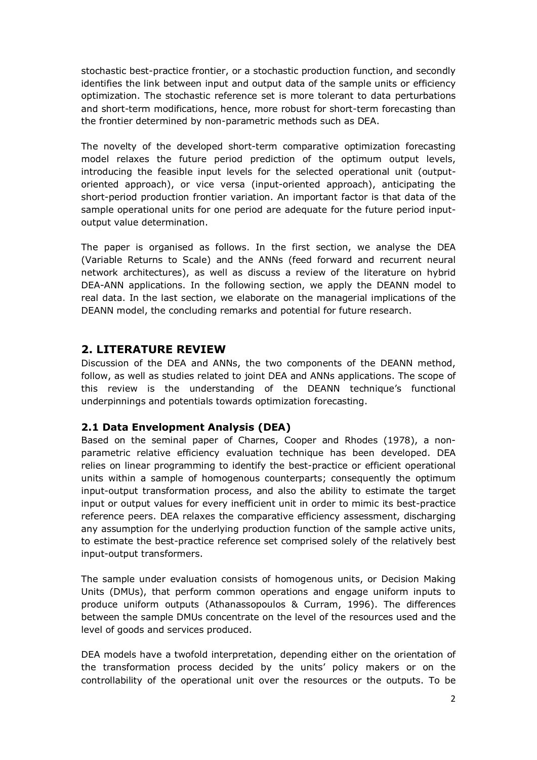stochastic best-practice frontier, or a stochastic production function, and secondly identifies the link between input and output data of the sample units or efficiency optimization. The stochastic reference set is more tolerant to data perturbations and short-term modifications, hence, more robust for short-term forecasting than the frontier determined by non-parametric methods such as DEA.

The novelty of the developed short-term comparative optimization forecasting model relaxes the future period prediction of the optimum output levels, introducing the feasible input levels for the selected operational unit (outputoriented approach), or vice versa (input-oriented approach), anticipating the short-period production frontier variation. An important factor is that data of the sample operational units for one period are adequate for the future period inputoutput value determination.

The paper is organised as follows. In the first section, we analyse the DEA (Variable Returns to Scale) and the ANNs (feed forward and recurrent neural network architectures), as well as discuss a review of the literature on hybrid DEA-ANN applications. In the following section, we apply the DEANN model to real data. In the last section, we elaborate on the managerial implications of the DEANN model, the concluding remarks and potential for future research.

## **2. LITERATURE REVIEW**

Discussion of the DEA and ANNs, the two components of the DEANN method, follow, as well as studies related to joint DEA and ANNs applications. The scope of this review is the understanding of the DEANN technique's functional underpinnings and potentials towards optimization forecasting.

## **2.1 Data Envelopment Analysis (DEA)**

Based on the seminal paper of Charnes, Cooper and Rhodes (1978), a nonparametric relative efficiency evaluation technique has been developed. DEA relies on linear programming to identify the best-practice or efficient operational units within a sample of homogenous counterparts; consequently the optimum input-output transformation process, and also the ability to estimate the target input or output values for every inefficient unit in order to mimic its best-practice reference peers. DEA relaxes the comparative efficiency assessment, discharging any assumption for the underlying production function of the sample active units, to estimate the best-practice reference set comprised solely of the relatively best input-output transformers.

The sample under evaluation consists of homogenous units, or Decision Making Units (DMUs), that perform common operations and engage uniform inputs to produce uniform outputs (Athanassopoulos & Curram, 1996). The differences between the sample DMUs concentrate on the level of the resources used and the level of goods and services produced.

DEA models have a twofold interpretation, depending either on the orientation of the transformation process decided by the units' policy makers or on the controllability of the operational unit over the resources or the outputs. To be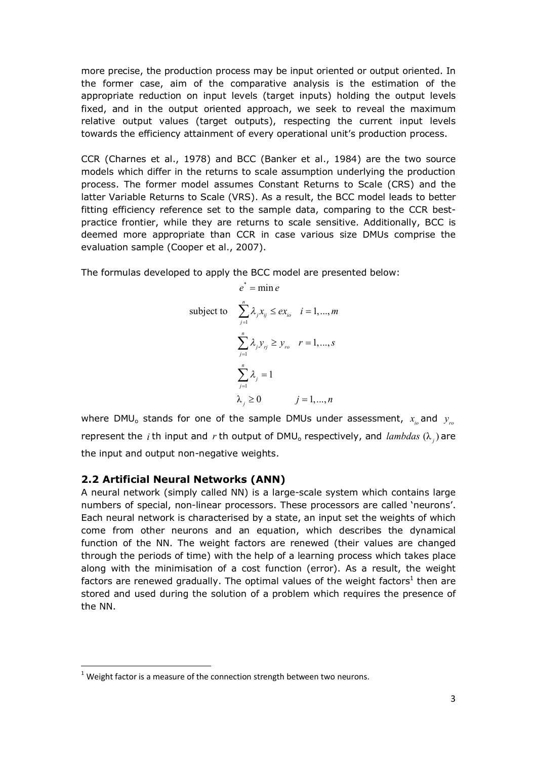more precise, the production process may be input oriented or output oriented. In the former case, aim of the comparative analysis is the estimation of the appropriate reduction on input levels (target inputs) holding the output levels fixed, and in the output oriented approach, we seek to reveal the maximum relative output values (target outputs), respecting the current input levels towards the efficiency attainment of every operational unit's production process.

CCR (Charnes et al., 1978) and BCC (Banker et al., 1984) are the two source models which differ in the returns to scale assumption underlying the production process. The former model assumes Constant Returns to Scale (CRS) and the latter Variable Returns to Scale (VRS). As a result, the BCC model leads to better fitting efficiency reference set to the sample data, comparing to the CCR bestpractice frontier, while they are returns to scale sensitive. Additionally, BCC is deemed more appropriate than CCR in case various size DMUs comprise the evaluation sample (Cooper et al., 2007).

The formulas developed to apply the BCC model are presented below:

$$
e^* = \min e
$$
  
subject to 
$$
\sum_{j=1}^n \lambda_j x_{ij} \le ex_{i_0} \quad i = 1,..., m
$$

$$
\sum_{j=1}^n \lambda_j y_{rj} \ge y_{r_0} \quad r = 1,..., s
$$

$$
\sum_{j=1}^n \lambda_j = 1
$$

$$
\lambda_j \ge 0 \qquad j = 1,..., n
$$

where DMU<sub>o</sub> stands for one of the sample DMUs under assessment,  $x_{i_o}$  and  $y_{r_o}$ represent the *i* th input and *r* th output of DMU<sub>o</sub> respectively, and *lambdas*  $(\lambda_j)$  are the input and output non-negative weights.

## **2.2 Artificial Neural Networks (ANN)**

A neural network (simply called NN) is a large-scale system which contains large numbers of special, non-linear processors. These processors are called 'neurons'. Each neural network is characterised by a state, an input set the weights of which come from other neurons and an equation, which describes the dynamical function of the NN. The weight factors are renewed (their values are changed through the periods of time) with the help of a learning process which takes place along with the minimisation of a cost function (error). As a result, the weight factors are renewed gradually. The optimal values of the weight factors<sup>1</sup> then are stored and used during the solution of a problem which requires the presence of the NN.

 $<sup>1</sup>$  Weight factor is a measure of the connection strength between two neurons.</sup>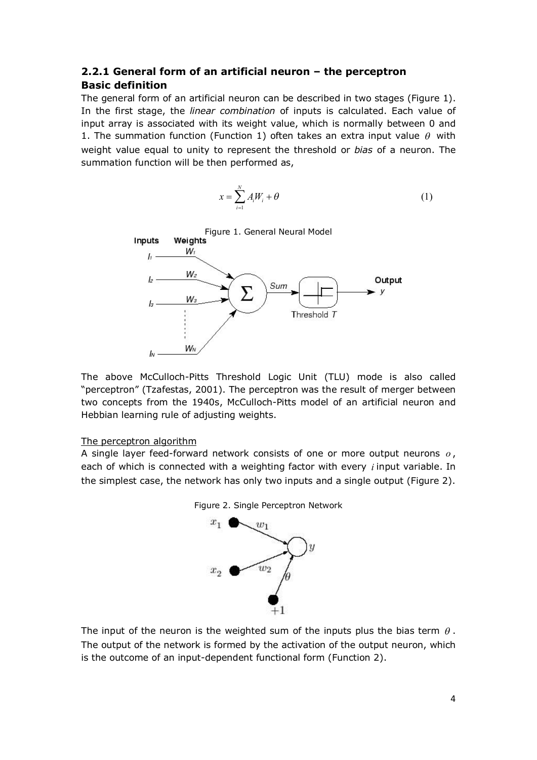## **2.2.1 General form of an artificial neuron – the perceptron Basic definition**

The general form of an artificial neuron can be described in two stages (Figure 1). In the first stage, the *linear combination* of inputs is calculated. Each value of input array is associated with its weight value, which is normally between 0 and 1. The summation function (Function 1) often takes an extra input value  $\theta$  with weight value equal to unity to represent the threshold or *bias* of a neuron. The summation function will be then performed as,

$$
x = \sum_{i=1}^{N} A_i W_i + \theta \tag{1}
$$



The above McCulloch-Pitts Threshold Logic Unit (TLU) mode is also called "perceptron" (Tzafestas, 2001). The perceptron was the result of merger between two concepts from the 1940s, McCulloch-Pitts model of an artificial neuron and Hebbian learning rule of adjusting weights.

#### The perceptron algorithm

A single layer feed-forward network consists of one or more output neurons *o* , each of which is connected with a weighting factor with every *i* input variable. In the simplest case, the network has only two inputs and a single output (Figure 2).





The input of the neuron is the weighted sum of the inputs plus the bias term  $\theta$ . The output of the network is formed by the activation of the output neuron, which is the outcome of an input-dependent functional form (Function 2).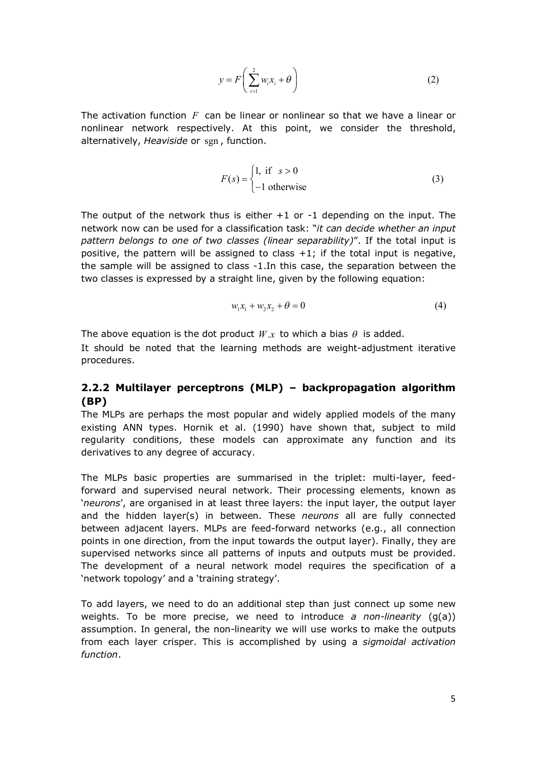$$
y = F\left(\sum_{i=1}^{2} w_i x_i + \theta\right)
$$
 (2)

The activation function *F* can be linear or nonlinear so that we have a linear or nonlinear network respectively. At this point, we consider the threshold, alternatively, *Heaviside* or sgn , function.

$$
F(s) = \begin{cases} 1, & \text{if } s > 0 \\ -1 & \text{otherwise} \end{cases}
$$
 (3)

The output of the network thus is either +1 or -1 depending on the input. The network now can be used for a classification task: "*it can decide whether an input pattern belongs to one of two classes (linear separability)*". If the total input is positive, the pattern will be assigned to class  $+1$ ; if the total input is negative, the sample will be assigned to class -1.In this case, the separation between the two classes is expressed by a straight line, given by the following equation:

$$
w_1 x_1 + w_2 x_2 + \theta = 0 \tag{4}
$$

The above equation is the dot product  $W_x$  to which a bias  $\theta$  is added.

It should be noted that the learning methods are weight-adjustment iterative procedures.

#### **2.2.2 Multilayer perceptrons (MLP) – backpropagation algorithm (BP)**

The MLPs are perhaps the most popular and widely applied models of the many existing ANN types. Hornik et al. (1990) have shown that, subject to mild regularity conditions, these models can approximate any function and its derivatives to any degree of accuracy.

The MLPs basic properties are summarised in the triplet: multi-layer, feedforward and supervised neural network. Their processing elements, known as '*neurons*', are organised in at least three layers: the input layer, the output layer and the hidden layer(s) in between. These *neurons* all are fully connected between adjacent layers. MLPs are feed-forward networks (e.g., all connection points in one direction, from the input towards the output layer). Finally, they are supervised networks since all patterns of inputs and outputs must be provided. The development of a neural network model requires the specification of a 'network topology' and a 'training strategy'.

To add layers, we need to do an additional step than just connect up some new weights. To be more precise, we need to introduce *a non-linearity* (g(a)) assumption. In general, the non-linearity we will use works to make the outputs from each layer crisper. This is accomplished by using a *sigmoidal activation function*.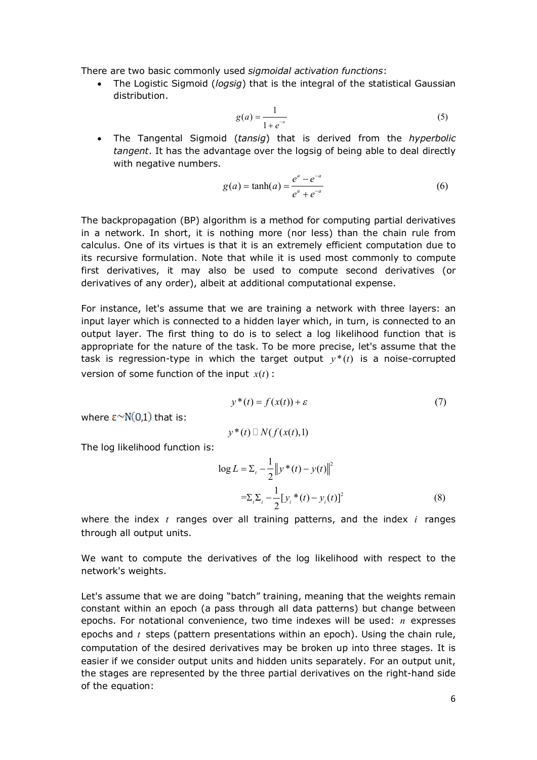There are two basic commonly used *sigmoidal activation functions*:

· The Logistic Sigmoid (*logsig*) that is the integral of the statistical Gaussian distribution.

$$
g(a) = \frac{1}{1 + e^{-a}}\tag{5}
$$

· The Tangental Sigmoid (*tansig*) that is derived from the *hyperbolic tangent*. It has the advantage over the logsig of being able to deal directly with negative numbers.

$$
g(a) = \tanh(a) = \frac{e^a - e^{-a}}{e^a + e^{-a}}
$$
 (6)

The backpropagation (BP) algorithm is a method for computing partial derivatives in a network. In short, it is nothing more (nor less) than the chain rule from calculus. One of its virtues is that it is an extremely efficient computation due to its recursive formulation. Note that while it is used most commonly to compute first derivatives, it may also be used to compute second derivatives (or derivatives of any order), albeit at additional computational expense.

For instance, let's assume that we are training a network with three layers: an input layer which is connected to a hidden layer which, in turn, is connected to an output layer. The first thing to do is to select a log likelihood function that is appropriate for the nature of the task. To be more precise, let's assume that the task is regression-type in which the target output  $y^*(t)$  is a noise-corrupted version of some function of the input  $x(t)$ :

$$
y^*(t) = f(x(t)) + \varepsilon \tag{7}
$$

where  $\epsilon \sim N(0,1)$  that is:

$$
y^*(t) \sqsupseteq N(f(x(t),1))
$$

The log likelihood function is:

$$
\log L = \sum_{i} \frac{1}{2} \|y^*(t) - y(t)\|^2
$$
  
= $\sum_{i} \sum_{i} \frac{1}{2} [y_i^*(t) - y_i(t)]^2$  (8)

where the index *t* ranges over all training patterns, and the index *i* ranges through all output units.

We want to compute the derivatives of the log likelihood with respect to the network's weights.

Let's assume that we are doing "batch" training, meaning that the weights remain constant within an epoch (a pass through all data patterns) but change between epochs. For notational convenience, two time indexes will be used: *n* expresses epochs and *t* steps (pattern presentations within an epoch). Using the chain rule, computation of the desired derivatives may be broken up into three stages. It is easier if we consider output units and hidden units separately. For an output unit, the stages are represented by the three partial derivatives on the right-hand side of the equation: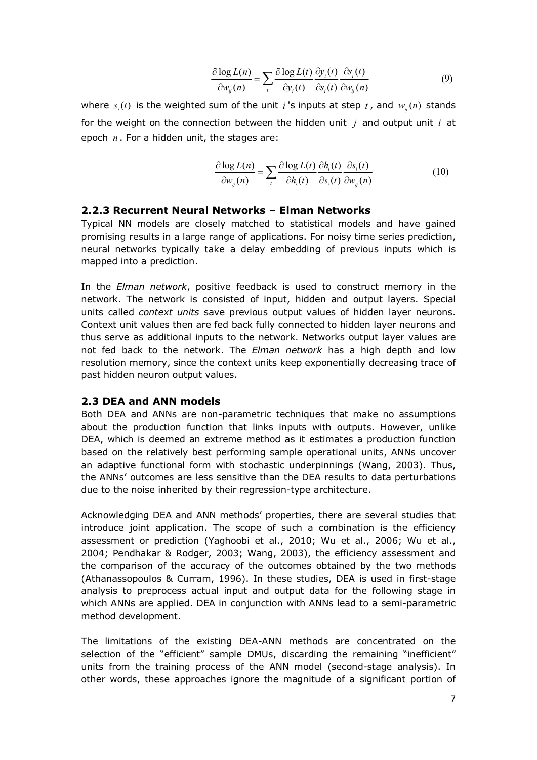$$
\frac{\partial \log L(n)}{\partial w_{ij}(n)} = \sum_{i} \frac{\partial \log L(t)}{\partial y_{i}(t)} \frac{\partial y_{i}(t)}{\partial s_{i}(t)} \frac{\partial s_{i}(t)}{\partial w_{ij}(n)}
$$
(9)

where  $s_i(t)$  is the weighted sum of the unit *i* 's inputs at step  $t$  , and  $w_{ij}(n)$  stands for the weight on the connection between the hidden unit *j* and output unit *i* at epoch *n* . For a hidden unit, the stages are:

$$
\frac{\partial \log L(n)}{\partial w_{ij}(n)} = \sum_{t} \frac{\partial \log L(t)}{\partial h_i(t)} \frac{\partial h_i(t)}{\partial s_i(t)} \frac{\partial s_i(t)}{\partial w_{ij}(n)}
$$
(10)

#### **2.2.3 Recurrent Neural Networks – Elman Networks**

Typical NN models are closely matched to statistical models and have gained promising results in a large range of applications. For noisy time series prediction, neural networks typically take a delay embedding of previous inputs which is mapped into a prediction.

In the *Elman network*, positive feedback is used to construct memory in the network. The network is consisted of input, hidden and output layers. Special units called *context units* save previous output values of hidden layer neurons. Context unit values then are fed back fully connected to hidden layer neurons and thus serve as additional inputs to the network. Networks output layer values are not fed back to the network. The *Elman network* has a high depth and low resolution memory, since the context units keep exponentially decreasing trace of past hidden neuron output values.

#### **2.3 DEA and ANN models**

Both DEA and ANNs are non-parametric techniques that make no assumptions about the production function that links inputs with outputs. However, unlike DEA, which is deemed an extreme method as it estimates a production function based on the relatively best performing sample operational units, ANNs uncover an adaptive functional form with stochastic underpinnings (Wang, 2003). Thus, the ANNs' outcomes are less sensitive than the DEA results to data perturbations due to the noise inherited by their regression-type architecture.

Acknowledging DEA and ANN methods' properties, there are several studies that introduce joint application. The scope of such a combination is the efficiency assessment or prediction (Yaghoobi et al., 2010; Wu et al., 2006; Wu et al., 2004; Pendhakar & Rodger, 2003; Wang, 2003), the efficiency assessment and the comparison of the accuracy of the outcomes obtained by the two methods (Athanassopoulos & Curram, 1996). In these studies, DEA is used in first-stage analysis to preprocess actual input and output data for the following stage in which ANNs are applied. DEA in conjunction with ANNs lead to a semi-parametric method development.

The limitations of the existing DEA-ANN methods are concentrated on the selection of the "efficient" sample DMUs, discarding the remaining "inefficient" units from the training process of the ANN model (second-stage analysis). In other words, these approaches ignore the magnitude of a significant portion of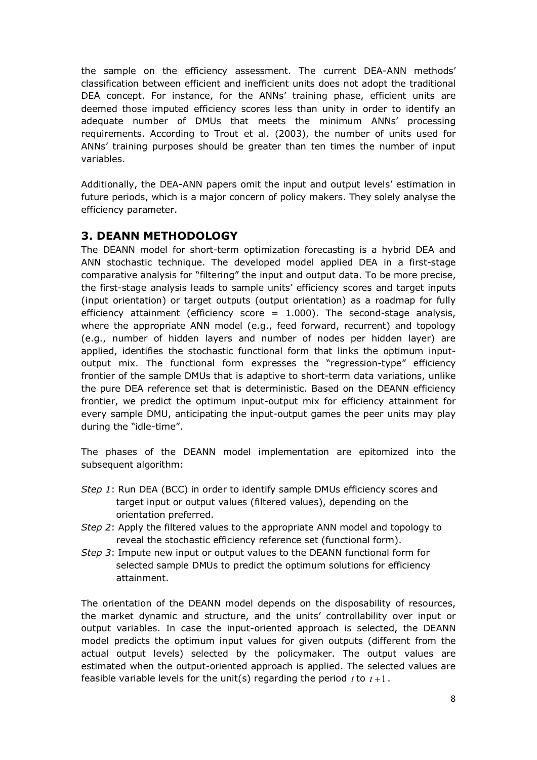the sample on the efficiency assessment. The current DEA-ANN methods' classification between efficient and inefficient units does not adopt the traditional DEA concept. For instance, for the ANNs' training phase, efficient units are deemed those imputed efficiency scores less than unity in order to identify an adequate number of DMUs that meets the minimum ANNs' processing requirements. According to Trout et al. (2003), the number of units used for ANNs' training purposes should be greater than ten times the number of input variables.

Additionally, the DEA-ANN papers omit the input and output levels' estimation in future periods, which is a major concern of policy makers. They solely analyse the efficiency parameter.

## **3. DEANN METHODOLOGY**

The DEANN model for short-term optimization forecasting is a hybrid DEA and ANN stochastic technique. The developed model applied DEA in a first-stage comparative analysis for "filtering" the input and output data. To be more precise, the first-stage analysis leads to sample units' efficiency scores and target inputs (input orientation) or target outputs (output orientation) as a roadmap for fully efficiency attainment (efficiency score  $= 1.000$ ). The second-stage analysis, where the appropriate ANN model (e.g., feed forward, recurrent) and topology (e.g., number of hidden layers and number of nodes per hidden layer) are applied, identifies the stochastic functional form that links the optimum inputoutput mix. The functional form expresses the "regression-type" efficiency frontier of the sample DMUs that is adaptive to short-term data variations, unlike the pure DEA reference set that is deterministic. Based on the DEANN efficiency frontier, we predict the optimum input-output mix for efficiency attainment for every sample DMU, anticipating the input-output games the peer units may play during the "idle-time".

The phases of the DEANN model implementation are epitomized into the subsequent algorithm:

- *Step 1*: Run DEA (BCC) in order to identify sample DMUs efficiency scores and target input or output values (filtered values), depending on the orientation preferred.
- *Step 2*: Apply the filtered values to the appropriate ANN model and topology to reveal the stochastic efficiency reference set (functional form).
- *Step 3*: Impute new input or output values to the DEANN functional form for selected sample DMUs to predict the optimum solutions for efficiency attainment.

The orientation of the DEANN model depends on the disposability of resources, the market dynamic and structure, and the units' controllability over input or output variables. In case the input-oriented approach is selected, the DEANN model predicts the optimum input values for given outputs (different from the actual output levels) selected by the policymaker. The output values are estimated when the output-oriented approach is applied. The selected values are feasible variable levels for the unit(s) regarding the period  $t$  to  $t+1$ .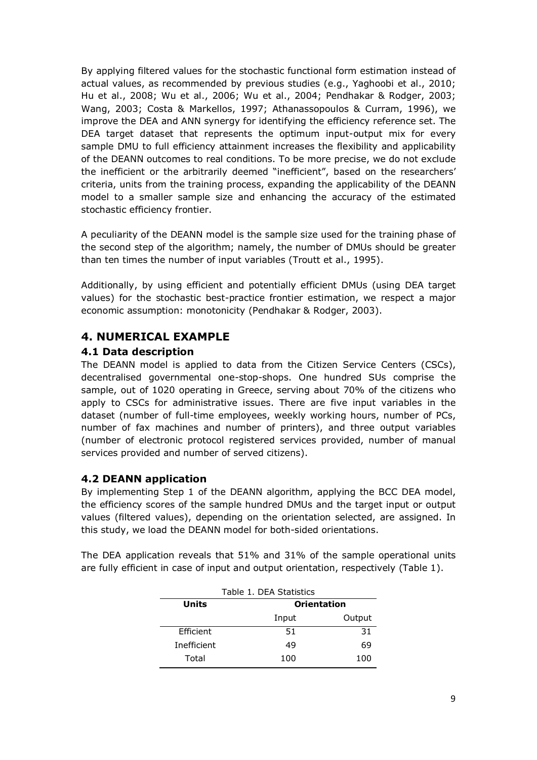By applying filtered values for the stochastic functional form estimation instead of actual values, as recommended by previous studies (e.g., Yaghoobi et al., 2010; Hu et al., 2008; Wu et al., 2006; Wu et al., 2004; Pendhakar & Rodger, 2003; Wang, 2003; Costa & Markellos, 1997; Athanassopoulos & Curram, 1996), we improve the DEA and ANN synergy for identifying the efficiency reference set. The DEA target dataset that represents the optimum input-output mix for every sample DMU to full efficiency attainment increases the flexibility and applicability of the DEANN outcomes to real conditions. To be more precise, we do not exclude the inefficient or the arbitrarily deemed "inefficient", based on the researchers' criteria, units from the training process, expanding the applicability of the DEANN model to a smaller sample size and enhancing the accuracy of the estimated stochastic efficiency frontier.

A peculiarity of the DEANN model is the sample size used for the training phase of the second step of the algorithm; namely, the number of DMUs should be greater than ten times the number of input variables (Troutt et al., 1995).

Additionally, by using efficient and potentially efficient DMUs (using DEA target values) for the stochastic best-practice frontier estimation, we respect a major economic assumption: monotonicity (Pendhakar & Rodger, 2003).

## **4. NUMERICAL EXAMPLE**

## **4.1 Data description**

The DEANN model is applied to data from the Citizen Service Centers (CSCs), decentralised governmental one-stop-shops. One hundred SUs comprise the sample, out of 1020 operating in Greece, serving about 70% of the citizens who apply to CSCs for administrative issues. There are five input variables in the dataset (number of full-time employees, weekly working hours, number of PCs, number of fax machines and number of printers), and three output variables (number of electronic protocol registered services provided, number of manual services provided and number of served citizens).

## **4.2 DEANN application**

By implementing Step 1 of the DEANN algorithm, applying the BCC DEA model, the efficiency scores of the sample hundred DMUs and the target input or output values (filtered values), depending on the orientation selected, are assigned. In this study, we load the DEANN model for both-sided orientations.

|              | Table 1. DEA Statistics |                    |
|--------------|-------------------------|--------------------|
| <b>Units</b> |                         | <b>Orientation</b> |
|              | Input                   | Output             |
| Efficient    | 51                      | 31                 |
| Inefficient  |                         | 69                 |

Total 100 100

The DEA application reveals that 51% and 31% of the sample operational units are fully efficient in case of input and output orientation, respectively (Table 1).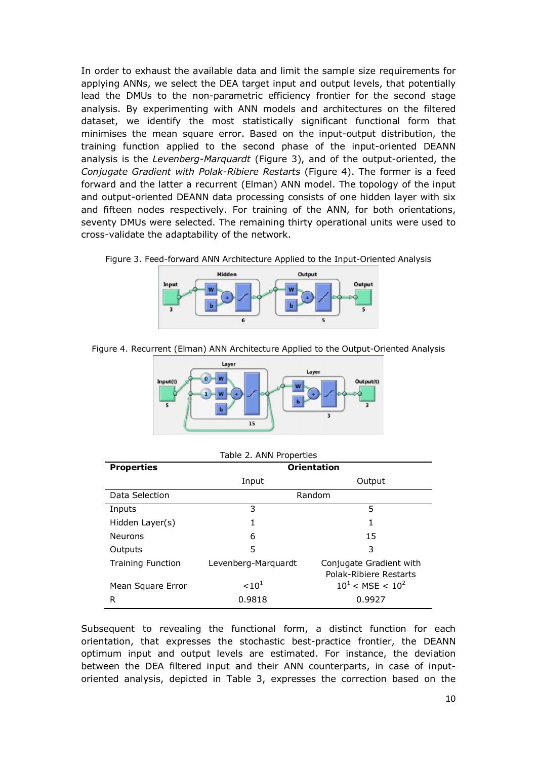In order to exhaust the available data and limit the sample size requirements for applying ANNs, we select the DEA target input and output levels, that potentially lead the DMUs to the non-parametric efficiency frontier for the second stage analysis. By experimenting with ANN models and architectures on the filtered dataset, we identify the most statistically significant functional form that minimises the mean square error. Based on the input-output distribution, the training function applied to the second phase of the input-oriented DEANN analysis is the *Levenberg-Marquardt* (Figure 3), and of the output-oriented, the *Conjugate Gradient with Polak-Ribiere Restarts* (Figure 4). The former is a feed forward and the latter a recurrent (Elman) ANN model. The topology of the input and output-oriented DEANN data processing consists of one hidden layer with six and fifteen nodes respectively. For training of the ANN, for both orientations, seventy DMUs were selected. The remaining thirty operational units were used to cross-validate the adaptability of the network.





Figure 4. Recurrent (Elman) ANN Architecture Applied to the Output-Oriented Analysis



|  |  |  |  | Table 2. ANN Properties |
|--|--|--|--|-------------------------|
|--|--|--|--|-------------------------|

| <b>Properties</b>        | <b>Orientation</b>  |                                                   |  |  |  |
|--------------------------|---------------------|---------------------------------------------------|--|--|--|
|                          | Input               | Output                                            |  |  |  |
| Data Selection           |                     | Random                                            |  |  |  |
| Inputs                   | 3                   | 5                                                 |  |  |  |
| Hidden Layer(s)          |                     | 1                                                 |  |  |  |
| <b>Neurons</b>           | 6                   | 1.5                                               |  |  |  |
| Outputs                  | 5                   | 3                                                 |  |  |  |
| <b>Training Function</b> | Levenberg-Marquardt | Conjugate Gradient with<br>Polak-Ribiere Restarts |  |  |  |
| Mean Square Error        | < 10 <sup>1</sup>   | $10^1$ < MSE < $10^2$                             |  |  |  |
| R                        | 0.9818              | 0.9927                                            |  |  |  |

Subsequent to revealing the functional form, a distinct function for each orientation, that expresses the stochastic best-practice frontier, the DEANN optimum input and output levels are estimated. For instance, the deviation between the DEA filtered input and their ANN counterparts, in case of inputoriented analysis, depicted in Table 3, expresses the correction based on the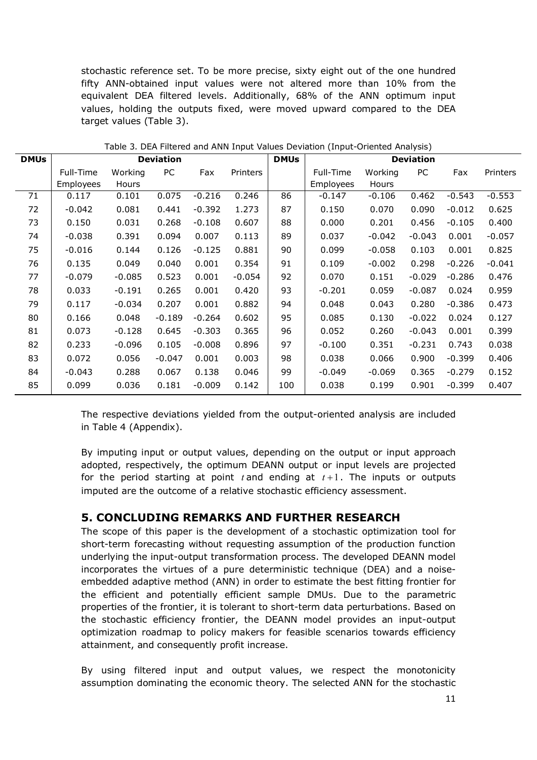stochastic reference set. To be more precise, sixty eight out of the one hundred fifty ANN-obtained input values were not altered more than 10% from the equivalent DEA filtered levels. Additionally, 68% of the ANN optimum input values, holding the outputs fixed, were moved upward compared to the DEA target values (Table 3).

| <b>DMUs</b> | <b>Deviation</b> |          |          |          | <b>DMUs</b> | <b>Deviation</b> |           |          |          |          |                 |
|-------------|------------------|----------|----------|----------|-------------|------------------|-----------|----------|----------|----------|-----------------|
|             | Full-Time        | Working  | PC       | Fax      | Printers    |                  | Full-Time | Working  | PC       | Fax      | <b>Printers</b> |
|             | Employees        | Hours    |          |          |             |                  | Employees | Hours    |          |          |                 |
| 71          | 0.117            | 0.101    | 0.075    | $-0.216$ | 0.246       | 86               | $-0.147$  | $-0.106$ | 0.462    | $-0.543$ | $-0.553$        |
| 72          | $-0.042$         | 0.081    | 0.441    | $-0.392$ | 1.273       | 87               | 0.150     | 0.070    | 0.090    | $-0.012$ | 0.625           |
| 73          | 0.150            | 0.031    | 0.268    | $-0.108$ | 0.607       | 88               | 0.000     | 0.201    | 0.456    | $-0.105$ | 0.400           |
| 74          | $-0.038$         | 0.391    | 0.094    | 0.007    | 0.113       | 89               | 0.037     | $-0.042$ | $-0.043$ | 0.001    | $-0.057$        |
| 75          | $-0.016$         | 0.144    | 0.126    | $-0.125$ | 0.881       | 90               | 0.099     | $-0.058$ | 0.103    | 0.001    | 0.825           |
| 76          | 0.135            | 0.049    | 0.040    | 0.001    | 0.354       | 91               | 0.109     | $-0.002$ | 0.298    | $-0.226$ | $-0.041$        |
| 77          | $-0.079$         | $-0.085$ | 0.523    | 0.001    | $-0.054$    | 92               | 0.070     | 0.151    | $-0.029$ | $-0.286$ | 0.476           |
| 78          | 0.033            | $-0.191$ | 0.265    | 0.001    | 0.420       | 93               | $-0.201$  | 0.059    | $-0.087$ | 0.024    | 0.959           |
| 79          | 0.117            | $-0.034$ | 0.207    | 0.001    | 0.882       | 94               | 0.048     | 0.043    | 0.280    | $-0.386$ | 0.473           |
| 80          | 0.166            | 0.048    | $-0.189$ | $-0.264$ | 0.602       | 95               | 0.085     | 0.130    | $-0.022$ | 0.024    | 0.127           |
| 81          | 0.073            | $-0.128$ | 0.645    | $-0.303$ | 0.365       | 96               | 0.052     | 0.260    | $-0.043$ | 0.001    | 0.399           |
| 82          | 0.233            | $-0.096$ | 0.105    | $-0.008$ | 0.896       | 97               | $-0.100$  | 0.351    | $-0.231$ | 0.743    | 0.038           |
| 83          | 0.072            | 0.056    | $-0.047$ | 0.001    | 0.003       | 98               | 0.038     | 0.066    | 0.900    | $-0.399$ | 0.406           |
| 84          | $-0.043$         | 0.288    | 0.067    | 0.138    | 0.046       | 99               | $-0.049$  | $-0.069$ | 0.365    | $-0.279$ | 0.152           |
| 85          | 0.099            | 0.036    | 0.181    | $-0.009$ | 0.142       | 100              | 0.038     | 0.199    | 0.901    | $-0.399$ | 0.407           |

Table 3. DEA Filtered and ANN Input Values Deviation (Input-Oriented Analysis)

The respective deviations yielded from the output-oriented analysis are included in Table 4 (Appendix).

By imputing input or output values, depending on the output or input approach adopted, respectively, the optimum DEANN output or input levels are projected for the period starting at point  $t$  and ending at  $t+1$ . The inputs or outputs imputed are the outcome of a relative stochastic efficiency assessment.

## **5. CONCLUDING REMARKS AND FURTHER RESEARCH**

The scope of this paper is the development of a stochastic optimization tool for short-term forecasting without requesting assumption of the production function underlying the input-output transformation process. The developed DEANN model incorporates the virtues of a pure deterministic technique (DEA) and a noiseembedded adaptive method (ANN) in order to estimate the best fitting frontier for the efficient and potentially efficient sample DMUs. Due to the parametric properties of the frontier, it is tolerant to short-term data perturbations. Based on the stochastic efficiency frontier, the DEANN model provides an input-output optimization roadmap to policy makers for feasible scenarios towards efficiency attainment, and consequently profit increase.

By using filtered input and output values, we respect the monotonicity assumption dominating the economic theory. The selected ANN for the stochastic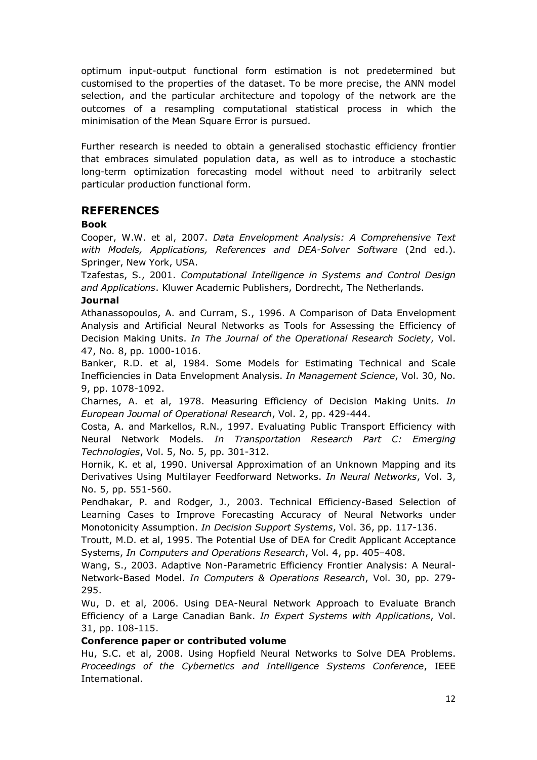optimum input-output functional form estimation is not predetermined but customised to the properties of the dataset. To be more precise, the ANN model selection, and the particular architecture and topology of the network are the outcomes of a resampling computational statistical process in which the minimisation of the Mean Square Error is pursued.

Further research is needed to obtain a generalised stochastic efficiency frontier that embraces simulated population data, as well as to introduce a stochastic long-term optimization forecasting model without need to arbitrarily select particular production functional form.

## **REFERENCES**

#### **Book**

Cooper, W.W. et al, 2007. *Data Envelopment Analysis: A Comprehensive Text with Models, Applications, References and DEA-Solver Software* (2nd ed.). Springer, New York, USA.

Tzafestas, S., 2001. *Computational Intelligence in Systems and Control Design and Applications*. Kluwer Academic Publishers, Dordrecht, The Netherlands.

#### **Journal**

Athanassopoulos, A. and Curram, S., 1996. A Comparison of Data Envelopment Analysis and Artificial Neural Networks as Tools for Assessing the Efficiency of Decision Making Units. *In The Journal of the Operational Research Society*, Vol. 47, No. 8, pp. 1000-1016.

Banker, R.D. et al, 1984. Some Models for Estimating Technical and Scale Inefficiencies in Data Envelopment Analysis. *In Management Science*, Vol. 30, No. 9, pp. 1078-1092.

Charnes, A. et al, 1978. Measuring Efficiency of Decision Making Units. *In European Journal of Operational Research*, Vol. 2, pp. 429-444.

Costa, A. and Markellos, R.N., 1997. Evaluating Public Transport Efficiency with Neural Network Models. *In Transportation Research Part C: Emerging Technologies*, Vol. 5, No. 5, pp. 301-312.

Hornik, K. et al, 1990. Universal Approximation of an Unknown Mapping and its Derivatives Using Multilayer Feedforward Networks. *In Neural Networks*, Vol. 3, No. 5, pp. 551-560.

Pendhakar, P. and Rodger, J., 2003. Technical Efficiency-Based Selection of Learning Cases to Improve Forecasting Accuracy of Neural Networks under Monotonicity Assumption. *In Decision Support Systems*, Vol. 36, pp. 117-136.

Troutt, M.D. et al, 1995. The Potential Use of DEA for Credit Applicant Acceptance Systems, *In Computers and Operations Research*, Vol. 4, pp. 405–408.

Wang, S., 2003. Adaptive Non-Parametric Efficiency Frontier Analysis: A Neural-Network-Based Model. *In Computers & Operations Research*, Vol. 30, pp. 279- 295.

Wu, D. et al, 2006. Using DEA-Neural Network Approach to Evaluate Branch Efficiency of a Large Canadian Bank. *In Expert Systems with Applications*, Vol. 31, pp. 108-115.

#### **Conference paper or contributed volume**

Hu, S.C. et al, 2008. Using Hopfield Neural Networks to Solve DEA Problems. *Proceedings of the Cybernetics and Intelligence Systems Conference*, IEEE International.